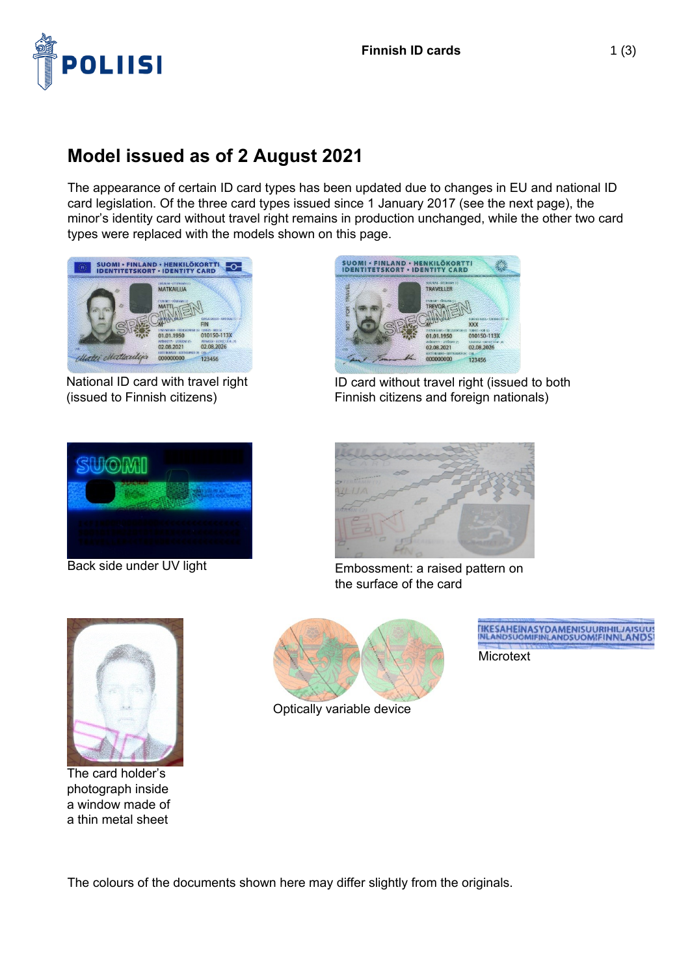

## **Model issued as of 2 August 2021**

The appearance of certain ID card types has been updated due to changes in EU and national ID card legislation. Of the three card types issued since 1 January 2017 (see the next page), the minor's identity card without travel right remains in production unchanged, while the other two card types were replaced with the models shown on this page.



National ID card with travel right (issued to Finnish citizens)



ID card without travel right (issued to both Finnish citizens and foreign nationals)





Back side under UV light Embossment: a raised pattern on the surface of the card



The card holder's photograph inside a window made of a thin metal sheet



Optically variable device

TIKESAHEINASYDAMENISUURIHILJAISUU **Microtext** 

The colours of the documents shown here may differ slightly from the originals.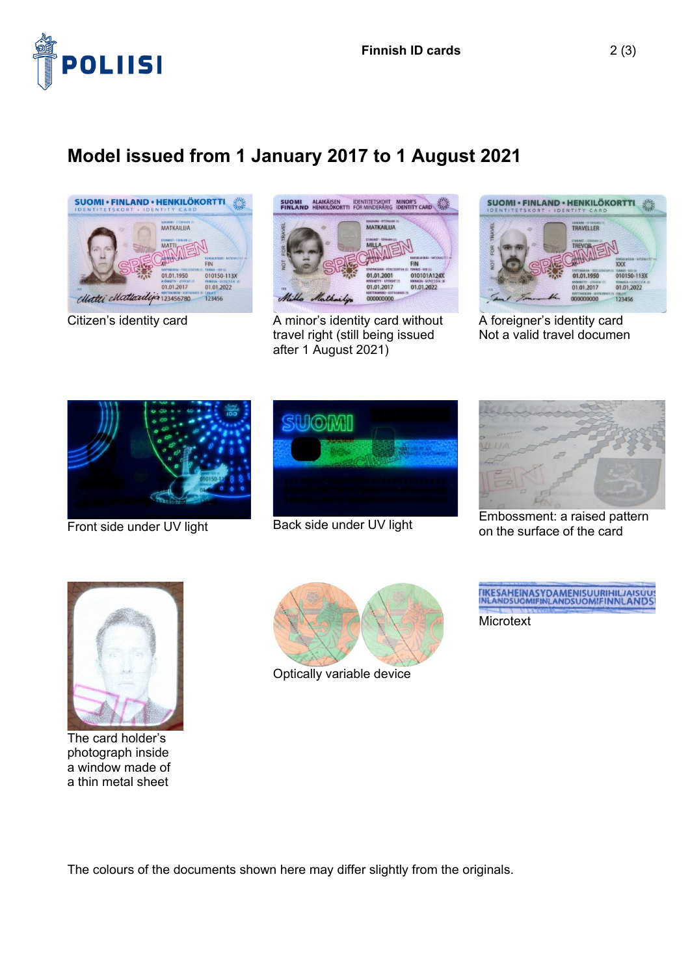

## **Model issued from 1 January 2017 to 1 August 2021**





Citizen's identity card **A** minor's identity card without travel right (still being issued after 1 August 2021)



A foreigner's identity card Not a valid travel documen







Embossment: a raised pattern<br>Front side under UV light Back side under UV light en the surface of the card on the surface of the card



The card holder's photograph inside a window made of a thin metal sheet



Optically variable device



**Microtext** 

The colours of the documents shown here may differ slightly from the originals.